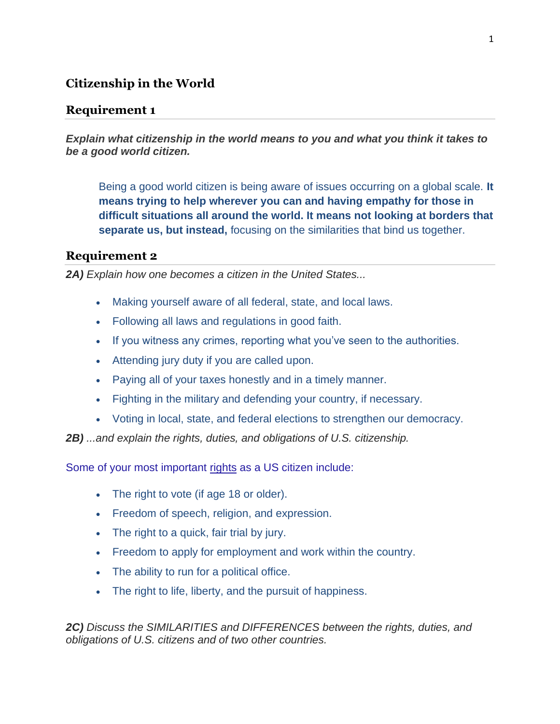# **Citizenship in the World**

### **Requirement 1**

*Explain what citizenship in the world means to you and what you think it takes to be a good world citizen.*

Being a good world citizen is being aware of issues occurring on a global scale. **It means trying to help wherever you can and having empathy for those in difficult situations all around the world. It means not looking at borders that separate us, but instead,** focusing on the similarities that bind us together.

## **Requirement 2**

*2A) Explain how one becomes a citizen in the United States...*

- Making yourself aware of all federal, state, and local laws.
- Following all laws and regulations in good faith.
- If you witness any crimes, reporting what you've seen to the authorities.
- Attending jury duty if you are called upon.
- Paying all of your taxes honestly and in a timely manner.
- Fighting in the military and defending your country, if necessary.
- Voting in local, state, and federal elections to strengthen our democracy.

*2B) ...and explain the rights, duties, and obligations of U.S. citizenship.*

Some of your most important rights as a US citizen include:

- The right to vote (if age 18 or older).
- Freedom of speech, religion, and expression.
- The right to a quick, fair trial by jury.
- Freedom to apply for employment and work within the country.
- The ability to run for a political office.
- The right to life, liberty, and the pursuit of happiness.

*2C) Discuss the SIMILARITIES and DIFFERENCES between the rights, duties, and obligations of U.S. citizens and of two other countries.*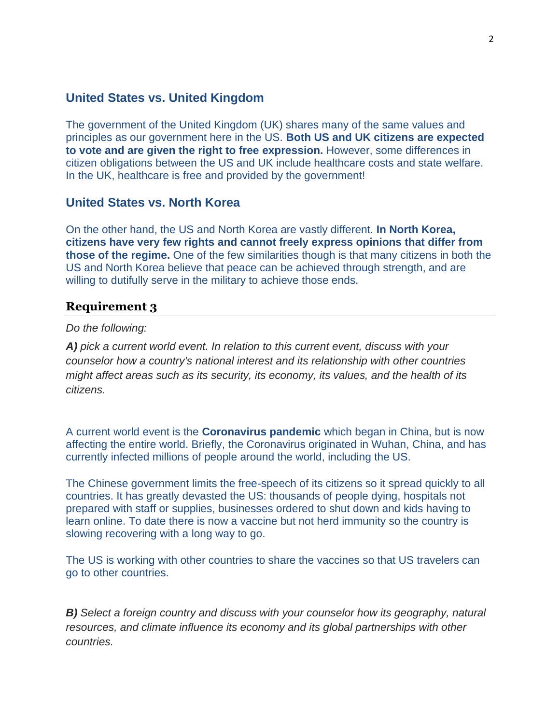### **United States vs. United Kingdom**

The government of the United Kingdom (UK) shares many of the same values and principles as our government here in the US. **Both US and UK citizens are expected to vote and are given the right to free expression.** However, some differences in citizen obligations between the US and UK include healthcare costs and state welfare. In the UK, healthcare is free and provided by the government!

## **United States vs. North Korea**

On the other hand, the US and North Korea are vastly different. **In North Korea, citizens have very few rights and cannot freely express opinions that differ from those of the regime.** One of the few similarities though is that many citizens in both the US and North Korea believe that peace can be achieved through strength, and are willing to dutifully serve in the military to achieve those ends.

#### **Requirement 3**

#### *Do the following:*

*A) pick a current world event. In relation to this current event, discuss with your counselor how a country's national interest and its relationship with other countries might affect areas such as its security, its economy, its values, and the health of its citizens.*

A current world event is the **Coronavirus pandemic** which began in China, but is now affecting the entire world. Briefly, the Coronavirus originated in Wuhan, China, and has currently infected millions of people around the world, including the US.

The Chinese government limits the free-speech of its citizens so it spread quickly to all countries. It has greatly devasted the US: thousands of people dying, hospitals not prepared with staff or supplies, businesses ordered to shut down and kids having to learn online. To date there is now a vaccine but not herd immunity so the country is slowing recovering with a long way to go.

The US is working with other countries to share the vaccines so that US travelers can go to other countries.

*B) Select a foreign country and discuss with your counselor how its geography, natural resources, and climate influence its economy and its global partnerships with other countries.*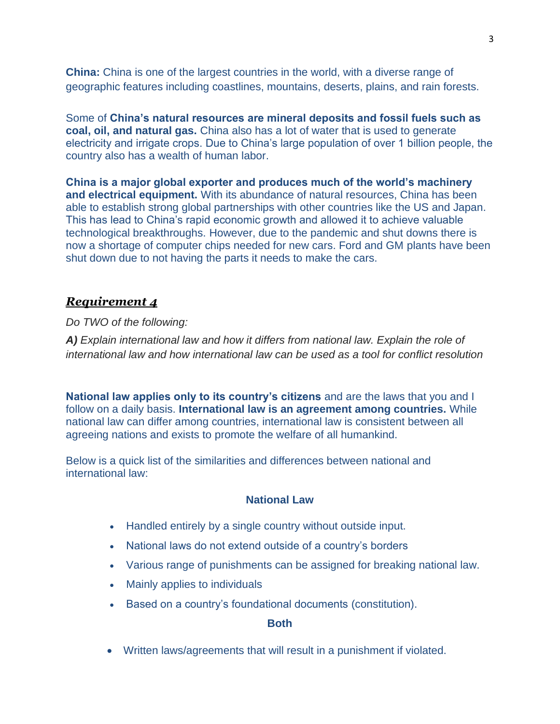**China:** China is one of the largest countries in the world, with a diverse range of geographic features including coastlines, mountains, deserts, plains, and rain forests.

Some of **China's natural resources are mineral deposits and fossil fuels such as coal, oil, and natural gas.** China also has a lot of water that is used to generate electricity and irrigate crops. Due to China's large population of over 1 billion people, the country also has a wealth of human labor.

**China is a major global exporter and produces much of the world's machinery and electrical equipment.** With its abundance of natural resources, China has been able to establish strong global partnerships with other countries like the US and Japan. This has lead to China's rapid economic growth and allowed it to achieve valuable technological breakthroughs. However, due to the pandemic and shut downs there is now a shortage of computer chips needed for new cars. Ford and GM plants have been shut down due to not having the parts it needs to make the cars.

## *Requirement 4*

*Do TWO of the following:*

*A) Explain international law and how it differs from national law. Explain the role of international law and how international law can be used as a tool for conflict resolution*

**National law applies only to its country's citizens** and are the laws that you and I follow on a daily basis. **International law is an agreement among countries.** While national law can differ among countries, international law is consistent between all agreeing nations and exists to promote the welfare of all humankind.

Below is a quick list of the similarities and differences between national and international law:

#### **National Law**

- Handled entirely by a single country without outside input.
- National laws do not extend outside of a country's borders
- Various range of punishments can be assigned for breaking national law.
- Mainly applies to individuals
- Based on a country's foundational documents (constitution).

#### **Both**

• Written laws/agreements that will result in a punishment if violated.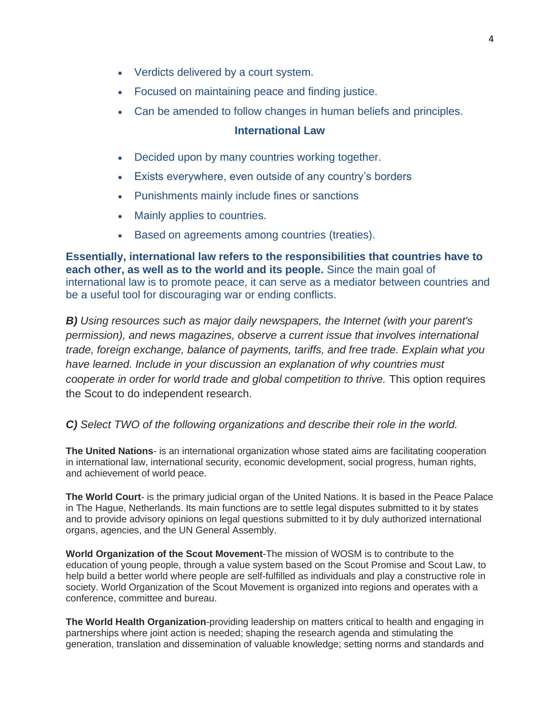- Verdicts delivered by a court system.
- Focused on maintaining peace and finding justice.
- Can be amended to follow changes in human beliefs and principles.

#### **International Law**

- Decided upon by many countries working together.
- Exists everywhere, even outside of any country's borders
- Punishments mainly include fines or sanctions
- Mainly applies to countries.
- Based on agreements among countries (treaties).

**Essentially, international law refers to the responsibilities that countries have to each other, as well as to the world and its people.** Since the main goal of international law is to promote peace, it can serve as a mediator between countries and be a useful tool for discouraging war or ending conflicts.

*B) Using resources such as major daily newspapers, the Internet (with your parent's permission), and news magazines, observe a current issue that involves international trade, foreign exchange, balance of payments, tariffs, and free trade. Explain what you have learned. Include in your discussion an explanation of why countries must cooperate in order for world trade and global competition to thrive.* This option requires the Scout to do independent research.

*C) Select TWO of the following organizations and describe their role in the world.*

**The United Nations**- is an international organization whose stated aims are facilitating cooperation in international law, international security, economic development, social progress, human rights, and achievement of world peace.

**The World Court**- is the primary judicial organ of the United Nations. It is based in the Peace Palace in The Hague, Netherlands. Its main functions are to settle legal disputes submitted to it by states and to provide advisory opinions on legal questions submitted to it by duly authorized international organs, agencies, and the UN General Assembly.

**World Organization of the Scout Movement**-The mission of WOSM is to contribute to the education of young people, through a value system based on the Scout Promise and Scout Law, to help build a better world where people are self-fulfilled as individuals and play a constructive role in society. World Organization of the Scout Movement is organized into regions and operates with a conference, committee and bureau.

**The World Health Organization**-providing leadership on matters critical to health and engaging in partnerships where joint action is needed; shaping the research agenda and stimulating the generation, translation and dissemination of valuable knowledge; setting norms and standards and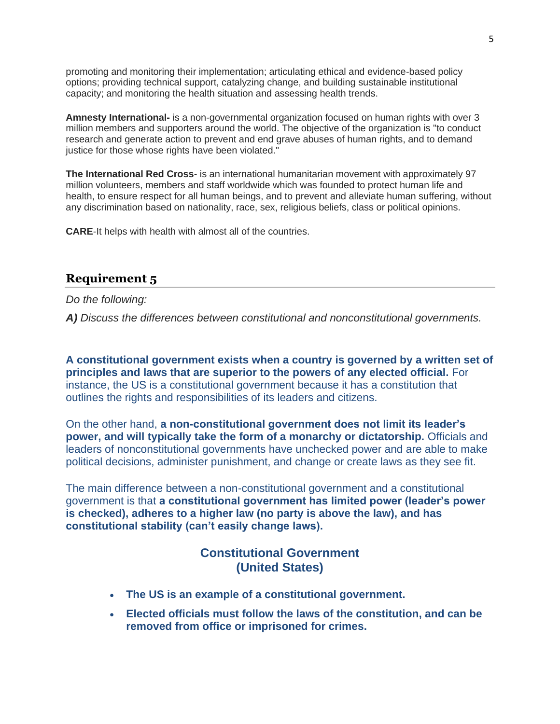promoting and monitoring their implementation; articulating ethical and evidence-based policy options; providing technical support, catalyzing change, and building sustainable institutional capacity; and monitoring the health situation and assessing health trends.

**Amnesty International-** is a non-governmental organization focused on human rights with over 3 million members and supporters around the world. The objective of the organization is "to conduct research and generate action to prevent and end grave abuses of human rights, and to demand justice for those whose rights have been violated."

**The International Red Cross**- is an international humanitarian movement with approximately 97 million volunteers, members and staff worldwide which was founded to protect human life and health, to ensure respect for all human beings, and to prevent and alleviate human suffering, without any discrimination based on nationality, race, sex, religious beliefs, class or political opinions.

**CARE**-It helps with health with almost all of the countries.

# **Requirement 5**

*Do the following:*

*A) Discuss the differences between constitutional and nonconstitutional governments.*

**A constitutional government exists when a country is governed by a written set of principles and laws that are superior to the powers of any elected official.** For instance, the US is a constitutional government because it has a constitution that outlines the rights and responsibilities of its leaders and citizens.

On the other hand, **a non-constitutional government does not limit its leader's power, and will typically take the form of a monarchy or dictatorship.** Officials and leaders of nonconstitutional governments have unchecked power and are able to make political decisions, administer punishment, and change or create laws as they see fit.

The main difference between a non-constitutional government and a constitutional government is that **a constitutional government has limited power (leader's power is checked), adheres to a higher law (no party is above the law), and has constitutional stability (can't easily change laws).**

# **Constitutional Government (United States)**

- **The US is an example of a constitutional government.**
- **Elected officials must follow the laws of the constitution, and can be removed from office or imprisoned for crimes.**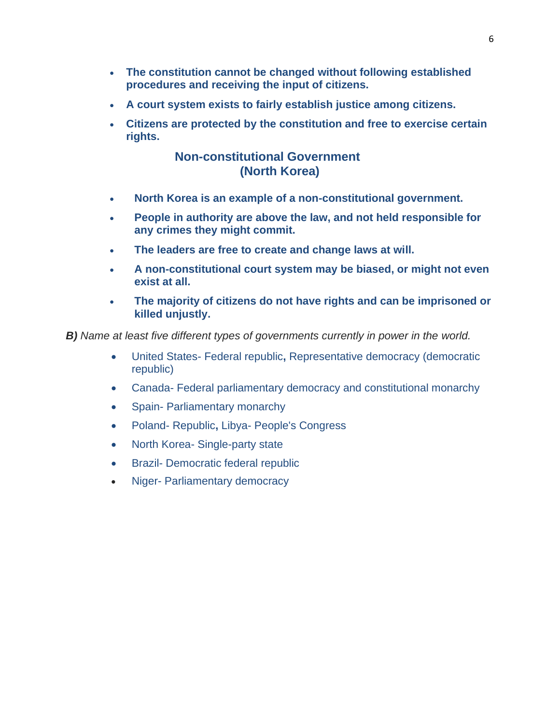- **The constitution cannot be changed without following established procedures and receiving the input of citizens.**
- **A court system exists to fairly establish justice among citizens.**
- **Citizens are protected by the constitution and free to exercise certain rights.**

# **Non-constitutional Government (North Korea)**

- **North Korea is an example of a non-constitutional government.**
- **People in authority are above the law, and not held responsible for any crimes they might commit.**
- **The leaders are free to create and change laws at will.**
- **A non-constitutional court system may be biased, or might not even exist at all.**
- **The majority of citizens do not have rights and can be imprisoned or killed unjustly.**

*B) Name at least five different types of governments currently in power in the world.*

- United States- Federal republic**,** Representative democracy (democratic republic)
- Canada- Federal parliamentary democracy and constitutional monarchy
- Spain- Parliamentary monarchy
- Poland- Republic**,** Libya- People's Congress
- North Korea- Single-party state
- Brazil- Democratic federal republic
- Niger- Parliamentary democracy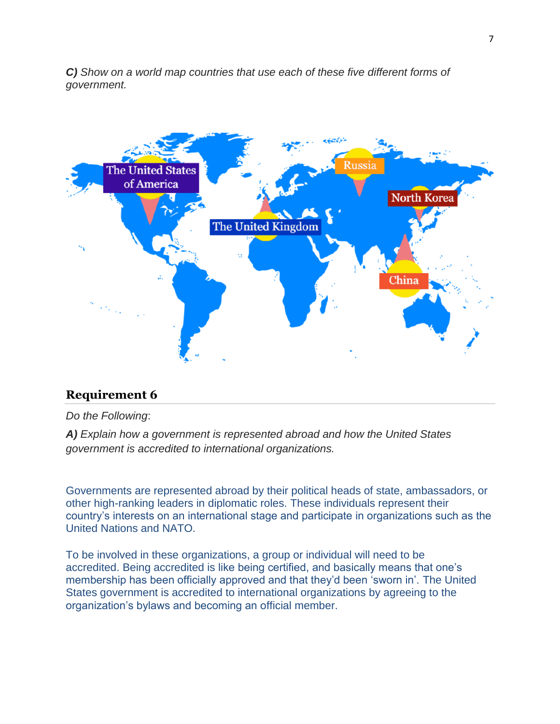*C) Show on a world map countries that use each of these five different forms of government.*



# **Requirement 6**

*Do the Following*:

*A) Explain how a government is represented abroad and how the United States government is accredited to international organizations.*

Governments are represented abroad by their political heads of state, ambassadors, or other high-ranking leaders in diplomatic roles. These individuals represent their country's interests on an international stage and participate in organizations such as the United Nations and NATO.

To be involved in these organizations, a group or individual will need to be accredited. Being accredited is like being certified, and basically means that one's membership has been officially approved and that they'd been 'sworn in'. The United States government is accredited to international organizations by agreeing to the organization's bylaws and becoming an official member.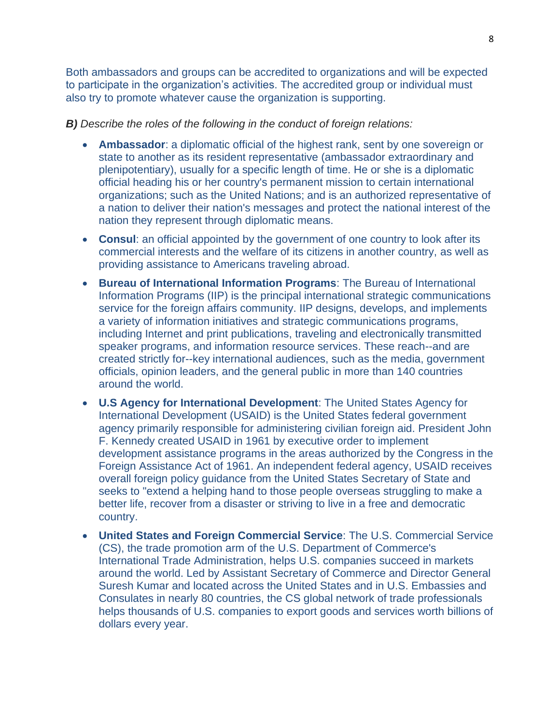Both ambassadors and groups can be accredited to organizations and will be expected to participate in the organization's activities. The accredited group or individual must also try to promote whatever cause the organization is supporting.

#### *B) Describe the roles of the following in the conduct of foreign relations:*

- **Ambassador**: a diplomatic official of the highest rank, sent by one sovereign or state to another as its resident representative (ambassador extraordinary and plenipotentiary), usually for a specific length of time. He or she is a diplomatic official heading his or her country's permanent mission to certain international organizations; such as the United Nations; and is an authorized representative of a nation to deliver their nation's messages and protect the national interest of the nation they represent through diplomatic means.
- **Consul**: an official appointed by the government of one country to look after its commercial interests and the welfare of its citizens in another country, as well as providing assistance to Americans traveling abroad.
- **Bureau of International Information Programs**: The Bureau of International Information Programs (IIP) is the principal international strategic communications service for the foreign affairs community. IIP designs, develops, and implements a variety of information initiatives and strategic communications programs, including Internet and print publications, traveling and electronically transmitted speaker programs, and information resource services. These reach--and are created strictly for--key international audiences, such as the media, government officials, opinion leaders, and the general public in more than 140 countries around the world.
- **U.S Agency for International Development**: The United States Agency for International Development (USAID) is the United States federal government agency primarily responsible for administering civilian foreign aid. President John F. Kennedy created USAID in 1961 by executive order to implement development assistance programs in the areas authorized by the Congress in the Foreign Assistance Act of 1961. An independent federal agency, USAID receives overall foreign policy guidance from the United States Secretary of State and seeks to "extend a helping hand to those people overseas struggling to make a better life, recover from a disaster or striving to live in a free and democratic country.
- **United States and Foreign Commercial Service**: The U.S. Commercial Service (CS), the trade promotion arm of the U.S. Department of Commerce's International Trade Administration, helps U.S. companies succeed in markets around the world. Led by Assistant Secretary of Commerce and Director General Suresh Kumar and located across the United States and in U.S. Embassies and Consulates in nearly 80 countries, the CS global network of trade professionals helps thousands of U.S. companies to export goods and services worth billions of dollars every year.